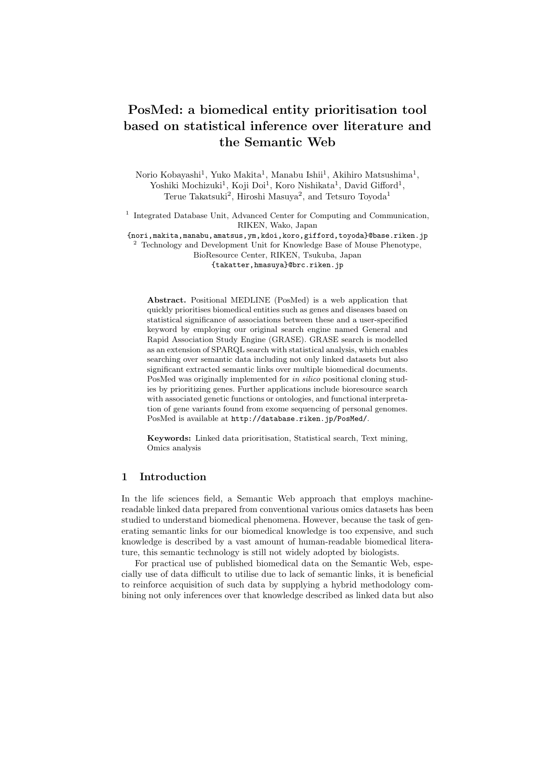# PosMed: a biomedical entity prioritisation tool based on statistical inference over literature and the Semantic Web

Norio Kobayashi<sup>1</sup>, Yuko Makita<sup>1</sup>, Manabu Ishii<sup>1</sup>, Akihiro Matsushima<sup>1</sup>, Yoshiki Mochizuki<sup>1</sup>, Koji Doi<sup>1</sup>, Koro Nishikata<sup>1</sup>, David Gifford<sup>1</sup>, Terue Takatsuki<sup>2</sup>, Hiroshi Masuya<sup>2</sup>, and Tetsuro Toyoda<sup>1</sup>

<sup>1</sup> Integrated Database Unit, Advanced Center for Computing and Communication, RIKEN, Wako, Japan

{nori,makita,manabu,amatsus,ym,kdoi,koro,gifford,toyoda}@base.riken.jp

<sup>2</sup> Technology and Development Unit for Knowledge Base of Mouse Phenotype, BioResource Center, RIKEN, Tsukuba, Japan {takatter,hmasuya}@brc.riken.jp

Abstract. Positional MEDLINE (PosMed) is a web application that quickly prioritises biomedical entities such as genes and diseases based on statistical significance of associations between these and a user-specified keyword by employing our original search engine named General and Rapid Association Study Engine (GRASE). GRASE search is modelled as an extension of SPARQL search with statistical analysis, which enables searching over semantic data including not only linked datasets but also significant extracted semantic links over multiple biomedical documents. PosMed was originally implemented for in silico positional cloning studies by prioritizing genes. Further applications include bioresource search with associated genetic functions or ontologies, and functional interpretation of gene variants found from exome sequencing of personal genomes. PosMed is available at http://database.riken.jp/PosMed/.

Keywords: Linked data prioritisation, Statistical search, Text mining, Omics analysis

## 1 Introduction

In the life sciences field, a Semantic Web approach that employs machinereadable linked data prepared from conventional various omics datasets has been studied to understand biomedical phenomena. However, because the task of generating semantic links for our biomedical knowledge is too expensive, and such knowledge is described by a vast amount of human-readable biomedical literature, this semantic technology is still not widely adopted by biologists.

For practical use of published biomedical data on the Semantic Web, especially use of data difficult to utilise due to lack of semantic links, it is beneficial to reinforce acquisition of such data by supplying a hybrid methodology combining not only inferences over that knowledge described as linked data but also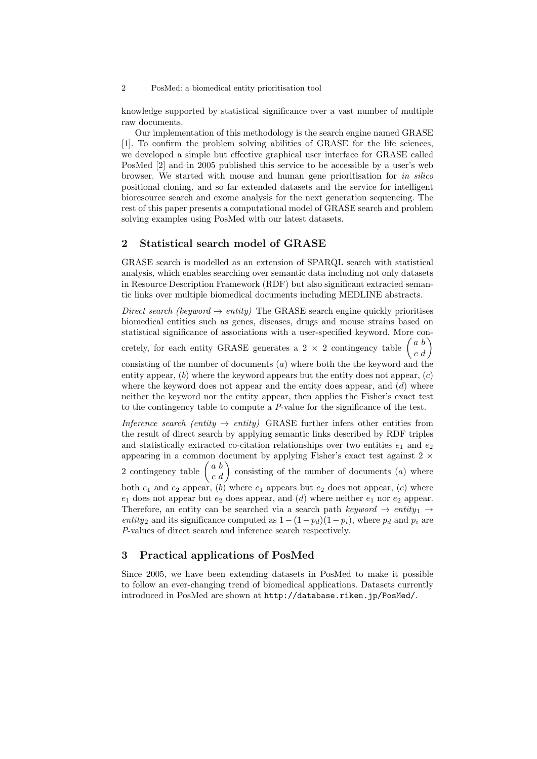#### 2 PosMed: a biomedical entity prioritisation tool

knowledge supported by statistical significance over a vast number of multiple raw documents.

Our implementation of this methodology is the search engine named GRASE [1]. To confirm the problem solving abilities of GRASE for the life sciences, we developed a simple but effective graphical user interface for GRASE called PosMed [2] and in 2005 published this service to be accessible by a user's web browser. We started with mouse and human gene prioritisation for in silico positional cloning, and so far extended datasets and the service for intelligent bioresource search and exome analysis for the next generation sequencing. The rest of this paper presents a computational model of GRASE search and problem solving examples using PosMed with our latest datasets.

## 2 Statistical search model of GRASE

GRASE search is modelled as an extension of SPARQL search with statistical analysis, which enables searching over semantic data including not only datasets in Resource Description Framework (RDF) but also significant extracted semantic links over multiple biomedical documents including MEDLINE abstracts.

Direct search (keyword  $\rightarrow$  entity) The GRASE search engine quickly prioritises biomedical entities such as genes, diseases, drugs and mouse strains based on statistical significance of associations with a user-specified keyword. More concretely, for each entity GRASE generates a 2  $\times$  2 contingency table  $\begin{pmatrix} a & b \\ c & d \end{pmatrix}$ consisting of the number of documents  $(a)$  where both the the keyword and the entity appear,  $(b)$  where the keyword appears but the entity does not appear,  $(c)$ where the keyword does not appear and the entity does appear, and  $(d)$  where neither the keyword nor the entity appear, then applies the Fisher's exact test to the contingency table to compute a P-value for the significance of the test.

Inference search (entity  $\rightarrow$  entity) GRASE further infers other entities from the result of direct search by applying semantic links described by RDF triples and statistically extracted co-citation relationships over two entities  $e_1$  and  $e_2$ appearing in a common document by applying Fisher's exact test against 2  $\times$ 2 contingency table  $\begin{pmatrix} a & b \\ c & d \end{pmatrix}$  consisting of the number of documents  $(a)$  where both  $e_1$  and  $e_2$  appear, (b) where  $e_1$  appears but  $e_2$  does not appear, (c) where  $e_1$  does not appear but  $e_2$  does appear, and (d) where neither  $e_1$  nor  $e_2$  appear. Therefore, an entity can be searched via a search path keyword  $\rightarrow$  entity<sub>1</sub>  $\rightarrow$ entity<sub>2</sub> and its significance computed as  $1 - (1 - p_d)(1 - p_i)$ , where  $p_d$  and  $p_i$  are P-values of direct search and inference search respectively.

## 3 Practical applications of PosMed

Since 2005, we have been extending datasets in PosMed to make it possible to follow an ever-changing trend of biomedical applications. Datasets currently introduced in PosMed are shown at http://database.riken.jp/PosMed/.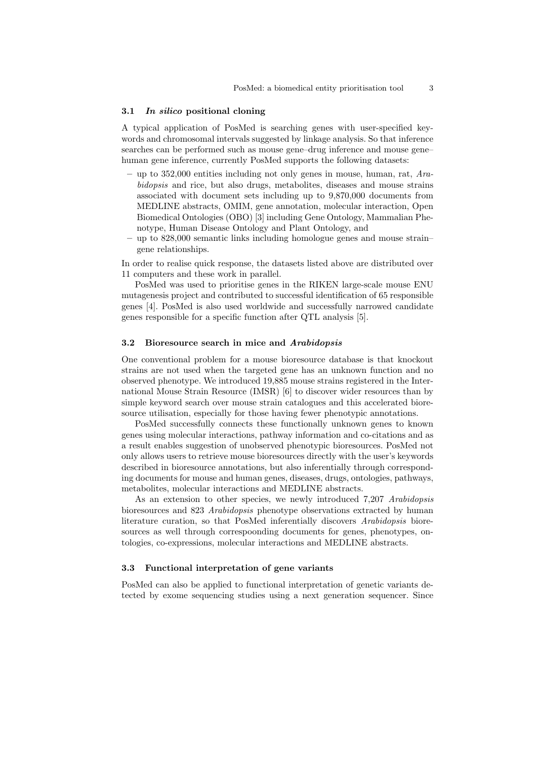#### 3.1 In silico positional cloning

A typical application of PosMed is searching genes with user-specified keywords and chromosomal intervals suggested by linkage analysis. So that inference searches can be performed such as mouse gene–drug inference and mouse gene– human gene inference, currently PosMed supports the following datasets:

- up to 352,000 entities including not only genes in mouse, human, rat,  $Ara$ bidopsis and rice, but also drugs, metabolites, diseases and mouse strains associated with document sets including up to 9,870,000 documents from MEDLINE abstracts, OMIM, gene annotation, molecular interaction, Open Biomedical Ontologies (OBO) [3] including Gene Ontology, Mammalian Phenotype, Human Disease Ontology and Plant Ontology, and
- up to 828,000 semantic links including homologue genes and mouse strain– gene relationships.

In order to realise quick response, the datasets listed above are distributed over 11 computers and these work in parallel.

PosMed was used to prioritise genes in the RIKEN large-scale mouse ENU mutagenesis project and contributed to successful identification of 65 responsible genes [4]. PosMed is also used worldwide and successfully narrowed candidate genes responsible for a specific function after QTL analysis [5].

#### 3.2 Bioresource search in mice and Arabidopsis

One conventional problem for a mouse bioresource database is that knockout strains are not used when the targeted gene has an unknown function and no observed phenotype. We introduced 19,885 mouse strains registered in the International Mouse Strain Resource (IMSR) [6] to discover wider resources than by simple keyword search over mouse strain catalogues and this accelerated bioresource utilisation, especially for those having fewer phenotypic annotations.

PosMed successfully connects these functionally unknown genes to known genes using molecular interactions, pathway information and co-citations and as a result enables suggestion of unobserved phenotypic bioresources. PosMed not only allows users to retrieve mouse bioresources directly with the user's keywords described in bioresource annotations, but also inferentially through corresponding documents for mouse and human genes, diseases, drugs, ontologies, pathways, metabolites, molecular interactions and MEDLINE abstracts.

As an extension to other species, we newly introduced 7,207 Arabidopsis bioresources and 823 Arabidopsis phenotype observations extracted by human literature curation, so that PosMed inferentially discovers Arabidopsis bioresources as well through correspoonding documents for genes, phenotypes, ontologies, co-expressions, molecular interactions and MEDLINE abstracts.

#### 3.3 Functional interpretation of gene variants

PosMed can also be applied to functional interpretation of genetic variants detected by exome sequencing studies using a next generation sequencer. Since